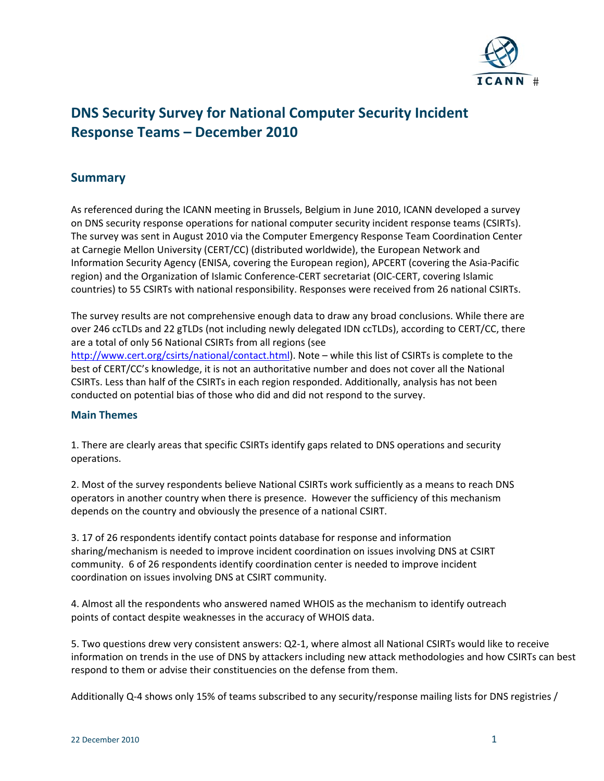

# **DNS Security Survey for National Computer Security Incident Response Teams – December 2010**

# **Summary**

As referenced during the ICANN meeting in Brussels, Belgium in June 2010, ICANN developed a survey on DNS security response operations for national computer security incident response teams (CSIRTs). The survey was sent in August 2010 via the Computer Emergency Response Team Coordination Center at Carnegie Mellon University (CERT/CC) (distributed worldwide), the European Network and Information Security Agency (ENISA, covering the European region), APCERT (covering the Asia‐Pacific region) and the Organization of Islamic Conference‐CERT secretariat (OIC‐CERT, covering Islamic countries) to 55 CSIRTs with national responsibility. Responses were received from 26 national CSIRTs.

The survey results are not comprehensive enough data to draw any broad conclusions. While there are over 246 ccTLDs and 22 gTLDs (not including newly delegated IDN ccTLDs), according to CERT/CC, there are a total of only 56 National CSIRTs from all regions (see [http://www.cert.org/csirts/national/contact.html\)](http://www.cert.org/csirts/national/contact.html). Note – while this list of CSIRTs is complete to the best of CERT/CC's knowledge, it is not an authoritative number and does not cover all the National CSIRTs. Less than half of the CSIRTs in each region responded. Additionally, analysis has not been conducted on potential bias of those who did and did not respond to the survey.

## **Main Themes**

1. There are clearly areas that specific CSIRTs identify gaps related to DNS operations and security operations.

2. Most of the survey respondents believe National CSIRTs work sufficiently as a means to reach DNS operators in another country when there is presence. However the sufficiency of this mechanism depends on the country and obviously the presence of a national CSIRT.

3. 17 of 26 respondents identify contact points database for response and information sharing/mechanism is needed to improve incident coordination on issues involving DNS at CSIRT community. 6 of 26 respondents identify coordination center is needed to improve incident coordination on issues involving DNS at CSIRT community.

4. Almost all the respondents who answered named WHOIS as the mechanism to identify outreach points of contact despite weaknesses in the accuracy of WHOIS data.

5. Two questions drew very consistent answers: Q2‐1, where almost all National CSIRTs would like to receive information on trends in the use of DNS by attackers including new attack methodologies and how CSIRTs can best respond to them or advise their constituencies on the defense from them.

Additionally Q-4 shows only 15% of teams subscribed to any security/response mailing lists for DNS registries /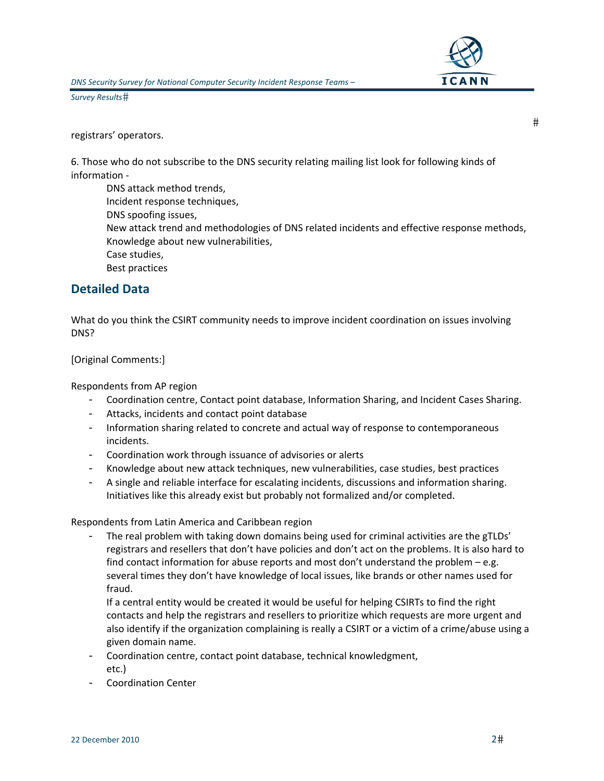

registrars' operators.

6. Those who do not subscribe to the DNS security relating mailing list look for following kinds of information ‐

DNS attack method trends, Incident response techniques, DNS spoofing issues, New attack trend and methodologies of DNS related incidents and effective response methods, Knowledge about new vulnerabilities, Case studies, Best practices

# **Detailed Data**

What do you think the CSIRT community needs to improve incident coordination on issues involving DNS?

## [Original Comments:]

Respondents from AP region

- Coordination centre, Contact point database, Information Sharing, and Incident Cases Sharing.
- Attacks, incidents and contact point database
- Information sharing related to concrete and actual way of response to contemporaneous incidents.
- Coordination work through issuance of advisories or alerts
- Knowledge about new attack techniques, new vulnerabilities, case studies, best practices
- A single and reliable interface for escalating incidents, discussions and information sharing. Initiatives like this already exist but probably not formalized and/or completed.

Respondents from Latin America and Caribbean region

The real problem with taking down domains being used for criminal activities are the gTLDs' registrars and resellers that don't have policies and don't act on the problems. It is also hard to find contact information for abuse reports and most don't understand the problem – e.g. several times they don't have knowledge of local issues, like brands or other names used for fraud.

If a central entity would be created it would be useful for helping CSIRTs to find the right contacts and help the registrars and resellers to prioritize which requests are more urgent and also identify if the organization complaining is really a CSIRT or a victim of a crime/abuse using a given domain name.

- Coordination centre, contact point database, technical knowledgment, etc.)
- Coordination Center

 $#$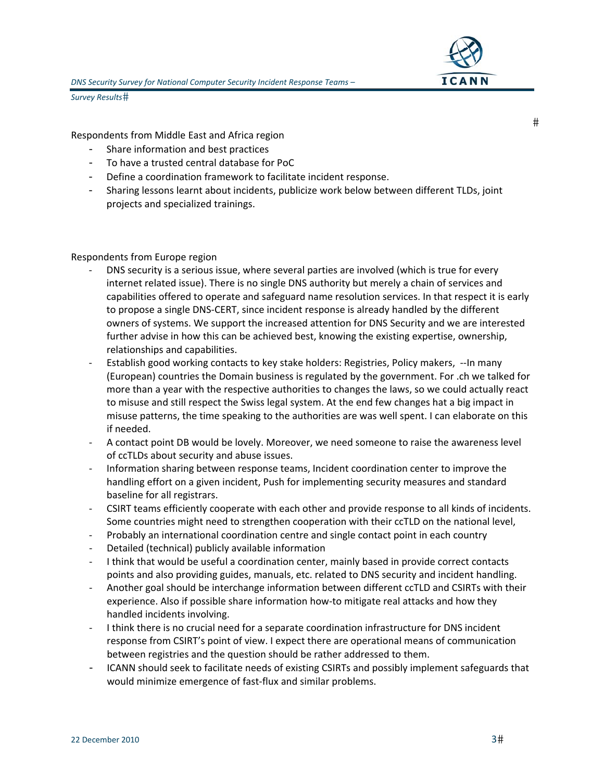

Respondents from Middle East and Africa region

- Share information and best practices
- To have a trusted central database for PoC
- Define a coordination framework to facilitate incident response.
- Sharing lessons learnt about incidents, publicize work below between different TLDs, joint projects and specialized trainings.

#### Respondents from Europe region

- DNS security is a serious issue, where several parties are involved (which is true for every internet related issue). There is no single DNS authority but merely a chain of services and capabilities offered to operate and safeguard name resolution services. In that respect it is early to propose a single DNS‐CERT, since incident response is already handled by the different owners of systems. We support the increased attention for DNS Security and we are interested further advise in how this can be achieved best, knowing the existing expertise, ownership, relationships and capabilities.
- Establish good working contacts to key stake holders: Registries, Policy makers, --In many (European) countries the Domain business is regulated by the government. For .ch we talked for more than a year with the respective authorities to changes the laws, so we could actually react to misuse and still respect the Swiss legal system. At the end few changes hat a big impact in misuse patterns, the time speaking to the authorities are was well spent. I can elaborate on this if needed.
- ‐ A contact point DB would be lovely. Moreover, we need someone to raise the awareness level of ccTLDs about security and abuse issues.
- ‐ Information sharing between response teams, Incident coordination center to improve the handling effort on a given incident, Push for implementing security measures and standard baseline for all registrars.
- ‐ CSIRT teams efficiently cooperate with each other and provide response to all kinds of incidents. Some countries might need to strengthen cooperation with their ccTLD on the national level,
- ‐ Probably an international coordination centre and single contact point in each country
- ‐ Detailed (technical) publicly available information
- ‐ I think that would be useful a coordination center, mainly based in provide correct contacts points and also providing guides, manuals, etc. related to DNS security and incident handling.
- ‐ Another goal should be interchange information between different ccTLD and CSIRTs with their experience. Also if possible share information how‐to mitigate real attacks and how they handled incidents involving.
- ‐ I think there is no crucial need for a separate coordination infrastructure for DNS incident response from CSIRT's point of view. I expect there are operational means of communication between registries and the question should be rather addressed to them.
- ICANN should seek to facilitate needs of existing CSIRTs and possibly implement safeguards that would minimize emergence of fast-flux and similar problems.

 $#$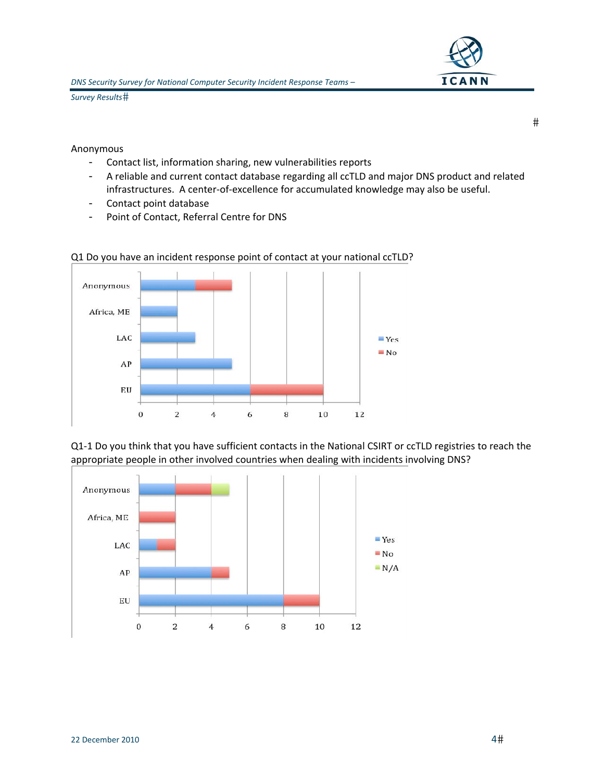Anonymous

- Contact list, information sharing, new vulnerabilities reports
- A reliable and current contact database regarding all ccTLD and major DNS product and related infrastructures. A center‐of‐excellence for accumulated knowledge may also be useful.
- Contact point database
- Point of Contact, Referral Centre for DNS



## Q1 Do you have an incident response point of contact at your national ccTLD?

Q1-1 Do you think that you have sufficient contacts in the National CSIRT or ccTLD registries to reach the appropriate people in other involved countries when dealing with incidents involving DNS?



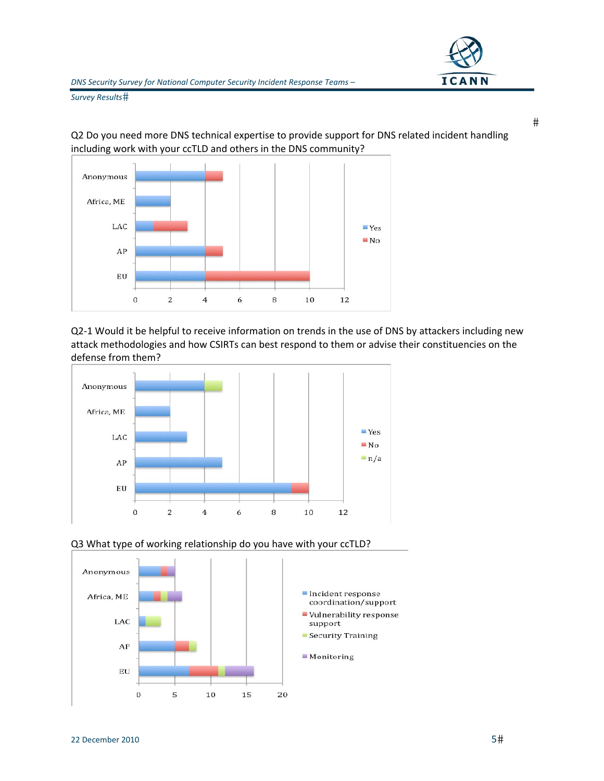

Q2 Do you need more DNS technical expertise to provide support for DNS related incident handling including work with your ccTLD and others in the DNS community?



Q2‐1 Would it be helpful to receive information on trends in the use of DNS by attackers including new attack methodologies and how CSIRTs can best respond to them or advise their constituencies on the defense from them?







 $#$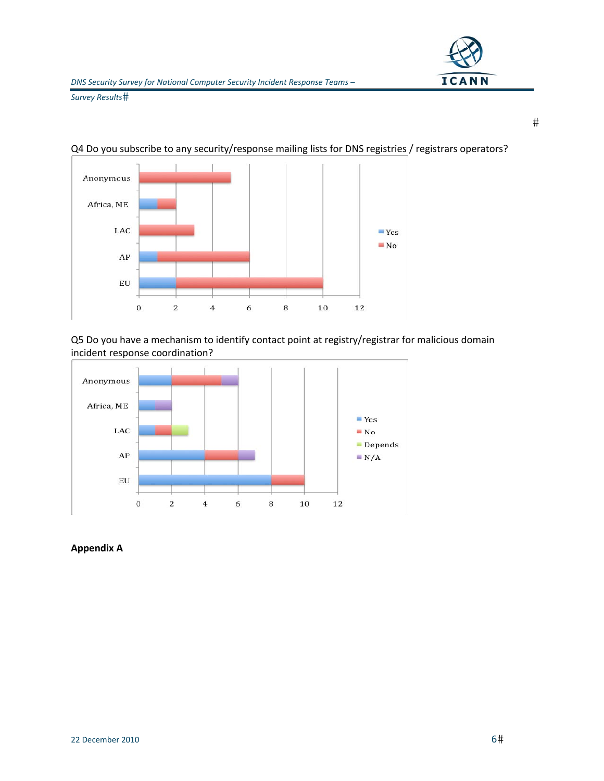

 $#$ 

*Survey Results*



Q4 Do you subscribe to any security/response mailing lists for DNS registries / registrars operators?

Q5 Do you have a mechanism to identify contact point at registry/registrar for malicious domain incident response coordination?



**Appendix A**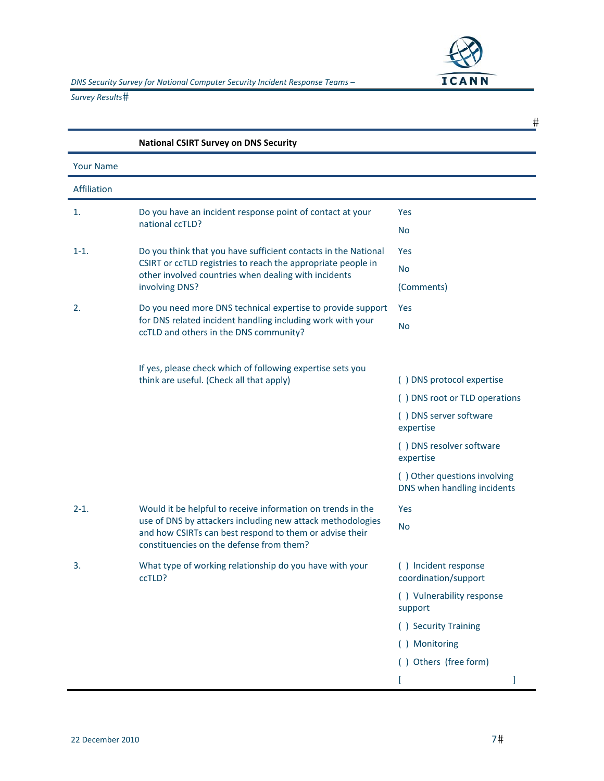

|                  |                                                                                                                                                                                                                                  | #                                                           |
|------------------|----------------------------------------------------------------------------------------------------------------------------------------------------------------------------------------------------------------------------------|-------------------------------------------------------------|
|                  | <b>National CSIRT Survey on DNS Security</b>                                                                                                                                                                                     |                                                             |
| <b>Your Name</b> |                                                                                                                                                                                                                                  |                                                             |
| Affiliation      |                                                                                                                                                                                                                                  |                                                             |
| 1.               | Do you have an incident response point of contact at your<br>national ccTLD?                                                                                                                                                     | Yes                                                         |
|                  |                                                                                                                                                                                                                                  | <b>No</b>                                                   |
| $1 - 1.$         | Do you think that you have sufficient contacts in the National<br>CSIRT or ccTLD registries to reach the appropriate people in<br>other involved countries when dealing with incidents<br>involving DNS?                         | <b>Yes</b>                                                  |
|                  |                                                                                                                                                                                                                                  | <b>No</b>                                                   |
|                  |                                                                                                                                                                                                                                  | (Comments)                                                  |
| 2.               | Do you need more DNS technical expertise to provide support<br>for DNS related incident handling including work with your<br>ccTLD and others in the DNS community?                                                              | Yes                                                         |
|                  |                                                                                                                                                                                                                                  | No                                                          |
|                  | If yes, please check which of following expertise sets you<br>think are useful. (Check all that apply)                                                                                                                           | () DNS protocol expertise                                   |
|                  |                                                                                                                                                                                                                                  | () DNS root or TLD operations                               |
|                  |                                                                                                                                                                                                                                  | () DNS server software<br>expertise                         |
|                  |                                                                                                                                                                                                                                  | () DNS resolver software<br>expertise                       |
|                  |                                                                                                                                                                                                                                  | () Other questions involving<br>DNS when handling incidents |
| $2 - 1.$         | Would it be helpful to receive information on trends in the<br>use of DNS by attackers including new attack methodologies<br>and how CSIRTs can best respond to them or advise their<br>constituencies on the defense from them? | Yes                                                         |
|                  |                                                                                                                                                                                                                                  | No                                                          |
| 3.               | What type of working relationship do you have with your<br>ccTLD?                                                                                                                                                                | () Incident response<br>coordination/support                |
|                  |                                                                                                                                                                                                                                  | () Vulnerability response<br>support                        |
|                  |                                                                                                                                                                                                                                  | () Security Training                                        |
|                  |                                                                                                                                                                                                                                  | () Monitoring                                               |
|                  |                                                                                                                                                                                                                                  | () Others (free form)                                       |
|                  |                                                                                                                                                                                                                                  |                                                             |